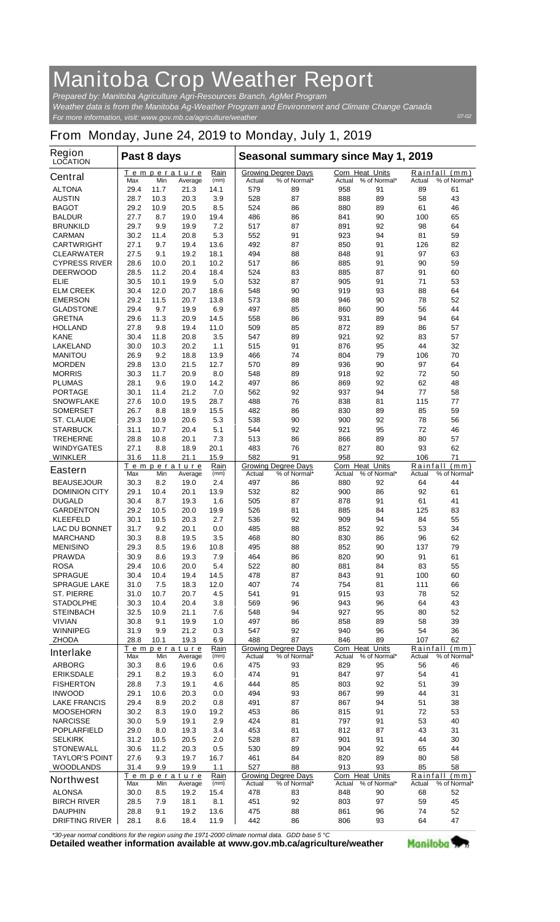## **Manitoba Crop Weather Report**

*For more information, visit: www.gov.mb.ca/agriculture/weather Prepared by: Manitoba Agriculture Agri-Resources Branch, AgMet Program Weather data is from the Manitoba Ag-Weather Program and Environment and Climate Change Canada*

## **From Monday, June 24, 2019 to Monday, July 1, 2019**

| <b>Region</b><br><b>LOCATION</b>          | Past 8 days                                                 |              |                                                      |              | Seasonal summary since May 1, 2019 |                                            |                                            |              |                    |                               |
|-------------------------------------------|-------------------------------------------------------------|--------------|------------------------------------------------------|--------------|------------------------------------|--------------------------------------------|--------------------------------------------|--------------|--------------------|-------------------------------|
| <b>Central</b>                            | Max                                                         | Min          | <b>Temperature</b><br>Average                        | Rain<br>(mm) | Actual                             | <b>Growing Degree Days</b><br>% of Normal* | <b>Corn Heat Units</b><br>Actual           | % of Normal* | Actual             | Rainfall (mm)<br>% of Normal* |
| <b>ALTONA</b>                             | 29.4                                                        | 11.7         | 21.3                                                 | 14.1         | 579                                | 89                                         | 958                                        | 91           | 89                 | 61                            |
| <b>AUSTIN</b>                             | 28.7                                                        | 10.3         | 20.3                                                 | 3.9          | 528                                | 87                                         | 888                                        | 89           | 58                 | 43                            |
| <b>BAGOT</b>                              | 29.2                                                        | 10.9         | 20.5                                                 | 8.5          | 524                                | 86                                         | 880                                        | 89           | 61                 | 46                            |
| <b>BALDUR</b>                             | 27.7                                                        | 8.7          | 19.0                                                 | 19.4<br>7.2  | 486                                | 86                                         | 841                                        | 90           | 100                | 65<br>64                      |
| <b>BRUNKILD</b><br><b>CARMAN</b>          | 29.7<br>30.2                                                | 9.9<br>11.4  | 19.9<br>20.8                                         | 5.3          | 517<br>552                         | 87<br>91                                   | 891<br>923                                 | 92<br>94     | 98<br>81           | 59                            |
| <b>CARTWRIGHT</b>                         | 27.1                                                        | 9.7          | 19.4                                                 | 13.6         | 492                                | 87                                         | 850                                        | 91           | 126                | 82                            |
| <b>CLEARWATER</b>                         | 27.5                                                        | 9.1          | 19.2                                                 | 18.1         | 494                                | 88                                         | 848                                        | 91           | 97                 | 63                            |
| <b>CYPRESS RIVER</b>                      | 28.6                                                        | 10.0         | 20.1                                                 | 10.2         | 517                                | 86                                         | 885                                        | 91           | 90                 | 59                            |
| <b>DEERWOOD</b>                           | 28.5                                                        | 11.2         | 20.4                                                 | 18.4         | 524                                | 83                                         | 885                                        | 87           | 91                 | 60                            |
| ELIE                                      | 30.5                                                        | 10.1         | 19.9                                                 | 5.0          | 532                                | 87                                         | 905                                        | 91           | 71                 | 53                            |
| <b>ELM CREEK</b>                          | 30.4                                                        | 12.0         | 20.7                                                 | 18.6         | 548                                | 90                                         | 919                                        | 93           | 88                 | 64                            |
| <b>EMERSON</b>                            | 29.2                                                        | 11.5         | 20.7                                                 | 13.8         | 573                                | 88                                         | 946                                        | 90           | 78                 | 52                            |
| <b>GLADSTONE</b>                          | 29.4                                                        | 9.7          | 19.9                                                 | 6.9          | 497                                | 85                                         | 860                                        | 90           | 56                 | 44                            |
| <b>GRETNA</b>                             | 29.6                                                        | 11.3         | 20.9                                                 | 14.5         | 558                                | 86                                         | 931                                        | 89           | 94                 | 64                            |
| <b>HOLLAND</b>                            | 27.8                                                        | 9.8          | 19.4                                                 | 11.0         | 509                                | 85                                         | 872                                        | 89           | 86                 | 57                            |
| <b>KANE</b>                               | 30.4                                                        | 11.8         | 20.8                                                 | 3.5          | 547                                | 89                                         | 921                                        | 92           | 83                 | 57                            |
| <b>LAKELAND</b>                           | 30.0                                                        | 10.3         | 20.2                                                 | $1.1$        | 515                                | 91                                         | 876                                        | 95           | 44                 | 32                            |
| <b>MANITOU</b><br><b>MORDEN</b>           | 26.9<br>29.8                                                | 9.2<br>13.0  | 18.8<br>21.5                                         | 13.9<br>12.7 | 466<br>570                         | 74<br>89                                   | 804<br>936                                 | 79<br>90     | 106<br>97          | 70<br>64                      |
| <b>MORRIS</b>                             | 30.3                                                        | 11.7         | 20.9                                                 | 8.0          | 548                                | 89                                         | 918                                        | 92           | 72                 | 50                            |
| <b>PLUMAS</b>                             | 28.1                                                        | 9.6          | 19.0                                                 | 14.2         | 497                                | 86                                         | 869                                        | 92           | 62                 | 48                            |
| <b>PORTAGE</b>                            | 30.1                                                        | 11.4         | 21.2                                                 | 7.0          | 562                                | 92                                         | 937                                        | 94           | 77                 | 58                            |
| <b>SNOWFLAKE</b>                          | 27.6                                                        | 10.0         | 19.5                                                 | 28.7         | 488                                | 76                                         | 838                                        | 81           | 115                | 77                            |
| <b>SOMERSET</b>                           | 26.7                                                        | 8.8          | 18.9                                                 | 15.5         | 482                                | 86                                         | 830                                        | 89           | 85                 | 59                            |
| <b>ST. CLAUDE</b>                         | 29.3                                                        | 10.9         | 20.6                                                 | 5.3          | 538                                | 90                                         | 900                                        | 92           | 78                 | 56                            |
| <b>STARBUCK</b>                           | 31.1                                                        | 10.7         | 20.4                                                 | 5.1          | 544                                | 92                                         | 921                                        | 95           | 72                 | 46                            |
| <b>TREHERNE</b>                           | 28.8                                                        | 10.8         | 20.1                                                 | 7.3          | 513                                | 86                                         | 866                                        | 89           | 80                 | 57                            |
| <b>WINDYGATES</b>                         | 27.1                                                        | 8.8          | 18.9                                                 | 20.1         | 483                                | 76                                         | 827                                        | 80           | 93                 | 62                            |
| <b>WINKLER</b>                            | 31.6                                                        | 11.8         | 21.1                                                 | 15.9         | 582                                | 91                                         | 958                                        | 92           | 106                | 71                            |
| <b>Eastern</b>                            | Max                                                         | Min          | Temperature<br>Average                               | Rain<br>(mm) | Actual                             | <b>Growing Degree Days</b><br>% of Normal* | <b>Corn Heat Units</b><br>Actual           | % of Normal* | Rainfall<br>Actual | (mm)<br>% of Normal*          |
| <b>BEAUSEJOUR</b>                         | 30.3                                                        | 8.2          | 19.0                                                 | 2.4          | 497                                | 86                                         | 880                                        | 92           | 64                 | 44                            |
| <b>DOMINION CITY</b>                      | 29.1                                                        | 10.4         | 20.1                                                 | 13.9         | 532                                | 82                                         | 900                                        | 86           | 92                 | 61                            |
| <b>DUGALD</b><br><b>GARDENTON</b>         | 30.4<br>29.2                                                | 8.7          | 19.3                                                 | 1.6          | 505                                | 87<br>81                                   | 878                                        | 91<br>84     | 61                 | 41<br>83                      |
| <b>KLEEFELD</b>                           | 30.1                                                        | 10.5<br>10.5 | 20.0<br>20.3                                         | 19.9<br>2.7  | 526<br>536                         | 92                                         | 885<br>909                                 | 94           | 125<br>84          | 55                            |
| <b>LAC DU BONNET</b>                      | 31.7                                                        | 9.2          | 20.1                                                 | 0.0          | 485                                | 88                                         | 852                                        | 92           | 53                 | 34                            |
| <b>MARCHAND</b>                           | 30.3                                                        | 8.8          | 19.5                                                 | 3.5          | 468                                | 80                                         | 830                                        | 86           | 96                 | 62                            |
| <b>MENISINO</b>                           | 29.3                                                        | 8.5          | 19.6                                                 | 10.8         | 495                                | 88                                         | 852                                        | 90           | 137                | 79                            |
| <b>PRAWDA</b>                             | 30.9                                                        | 8.6          | 19.3                                                 | 7.9          | 464                                | 86                                         | 820                                        | 90           | 91                 | 61                            |
| <b>ROSA</b>                               | 29.4                                                        | 10.6         | 20.0                                                 | 5.4          | 522                                | 80                                         | 881                                        | 84           | 83                 | 55                            |
| <b>SPRAGUE</b>                            | 30.4                                                        | 10.4         | 19.4                                                 | 14.5         | 478                                | 87                                         | 843                                        | 91           | 100                | 60                            |
| <b>SPRAGUE LAKE</b>                       | 31.0                                                        | 7.5          | 18.3                                                 | 12.0         | 407                                | 74                                         | 754                                        | 81           | 111                | 66                            |
| <b>ST. PIERRE</b>                         | 31.0                                                        | 10.7         | 20.7                                                 | 4.5          | 541                                | 91                                         | 915                                        | 93           | 78                 | 52                            |
| <b>STADOLPHE</b>                          | 30.3                                                        | 10.4         | 20.4                                                 | 3.8          | 569                                | 96                                         | 943                                        | 96           | 64                 | 43                            |
| <b>STEINBACH</b><br><b>VIVIAN</b>         | 32.5<br>30.8                                                | 10.9<br>9.1  | 21.1<br>19.9                                         | 7.6<br>1.0   | 548<br>497                         | 94<br>86                                   | 927<br>858                                 | 95<br>89     | 80<br>58           | 52<br>39                      |
| <b>WINNIPEG</b>                           | 31.9                                                        | 9.9          | 21.2                                                 | 0.3          | 547                                | 92                                         | 940                                        | 96           | 54                 | 36                            |
| <b>ZHODA</b>                              | 28.8                                                        | 10.1         | 19.3                                                 | 6.9          | 488                                | 87                                         | 846                                        | 89           | 107                | 62                            |
| <b>Interlake</b>                          | Rain<br><b>Temperature</b><br>Max<br>Min<br>(mm)<br>Average |              | <b>Growing Degree Days</b><br>% of Normal*<br>Actual |              | Corn Heat Units<br>Actual          | % of Normal*                               | Rainfall<br>(mm)<br>% of Normal*<br>Actual |              |                    |                               |
| <b>ARBORG</b>                             | 30.3                                                        | 8.6          | 19.6                                                 | 0.6          | 475                                | 93                                         | 829                                        | 95           | 56                 | 46                            |
| <b>ERIKSDALE</b>                          | 29.1                                                        | 8.2          | 19.3                                                 | 6.0          | 474                                | 91                                         | 847                                        | 97           | 54                 | 41                            |
| <b>FISHERTON</b>                          | 28.8                                                        | 7.3          | 19.1                                                 | 4.6          | 444                                | 85                                         | 803                                        | 92           | 51                 | 39                            |
| <b>INWOOD</b>                             | 29.1                                                        | 10.6         | 20.3                                                 | 0.0          | 494                                | 93                                         | 867                                        | 99           | 44                 | 31                            |
| <b>LAKE FRANCIS</b>                       | 29.4                                                        | 8.9          | 20.2                                                 | 0.8          | 491                                | 87                                         | 867                                        | 94           | 51                 | 38                            |
| <b>MOOSEHORN</b>                          | 30.2                                                        | 8.3          | 19.0                                                 | 19.2         | 453                                | 86                                         | 815                                        | 91           | 72                 | 53                            |
| <b>NARCISSE</b>                           | 30.0                                                        | 5.9          | 19.1                                                 | 2.9          | 424                                | 81                                         | 797                                        | 91           | 53                 | 40                            |
| <b>POPLARFIELD</b>                        | 29.0                                                        | 8.0          | 19.3                                                 | 3.4          | 453                                | 81                                         | 812                                        | 87           | 43                 | 31                            |
| <b>SELKIRK</b><br><b>STONEWALL</b>        | 31.2<br>30.6                                                | 10.5<br>11.2 | 20.5<br>20.3                                         | 2.0<br>0.5   | 528<br>530                         | 87<br>89                                   | 901<br>904                                 | 91<br>92     | 44<br>65           | 30<br>44                      |
|                                           | 27.6                                                        |              |                                                      |              |                                    |                                            | 820                                        |              |                    |                               |
| <b>TAYLOR'S POINT</b><br><b>WOODLANDS</b> | 31.4                                                        | 9.3<br>9.9   | 19.7<br>19.9                                         | 16.7<br>1.1  | 461<br>527                         | 84<br>88                                   | 913                                        | 89<br>93     | 80<br>85           | 58<br>58                      |
| <b>Northwest</b>                          |                                                             | Min          | Temperature                                          | Rain         | Actual                             | <b>Growing Degree Days</b><br>% of Normal* | Corn Heat Units<br>Actual                  | % of Normal* | Rainfall           | (mm)<br>% of Normal*          |
| <b>ALONSA</b>                             | Max<br>30.0                                                 | 8.5          | Average<br>19.2                                      | (mm)<br>15.4 | 478                                | 83                                         | 848                                        | 90           | Actual<br>68       | 52                            |
| <b>BIRCH RIVER</b>                        | 28.5                                                        | 7.9          | 18.1                                                 | 8.1          | 451                                | 92                                         | 803                                        | 97           | 59                 | 45                            |
| <b>DAUPHIN</b>                            | 28.8                                                        | 9.1          | 19.2                                                 | 13.6         | 475                                | 88                                         | 861                                        | 96           | 74                 | 52                            |
| <b>DRIFTING RIVER</b>                     | 28.1                                                        | 8.6          | 18.4                                                 | 11.9         | 442                                | 86                                         | 806                                        | 93           | 64                 | 47                            |

*\*30-year normal conditions for the region using the 1971-2000 climate normal data. GDD base 5 °C*<br>Detailed weather information available at www.gov.mb.ca/agriculture/weather

Manitoba<sup>9</sup>